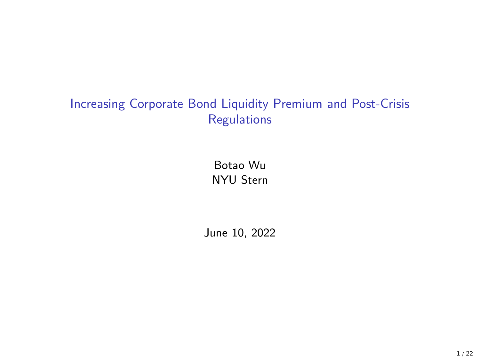# Increasing Corporate Bond Liquidity Premium and Post-Crisis Regulations

Botao Wu NYU Stern

June 10, 2022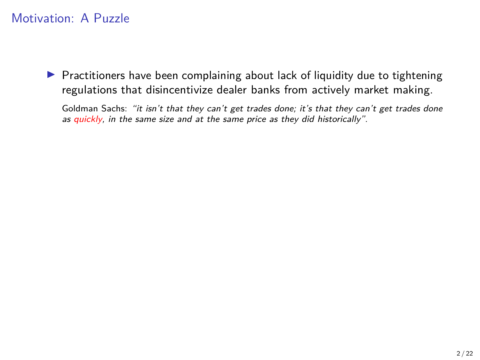$\blacktriangleright$  Practitioners have been complaining about lack of liquidity due to tightening regulations that disincentivize dealer banks from actively market making.

Goldman Sachs: "it isn't that they can't get trades done; it's that they can't get trades done as quickly, in the same size and at the same price as they did historically".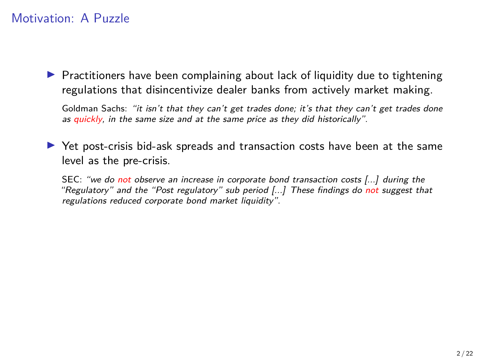$\blacktriangleright$  Practitioners have been complaining about lack of liquidity due to tightening regulations that disincentivize dealer banks from actively market making.

Goldman Sachs: "it isn't that they can't get trades done; it's that they can't get trades done as quickly, in the same size and at the same price as they did historically".

 $\triangleright$  Yet post-crisis bid-ask spreads and transaction costs have been at the same level as the pre-crisis.

SEC: "we do not observe an increase in corporate bond transaction costs [...] during the "Regulatory" and the "Post regulatory" sub period [...] These findings do not suggest that regulations reduced corporate bond market liquidity".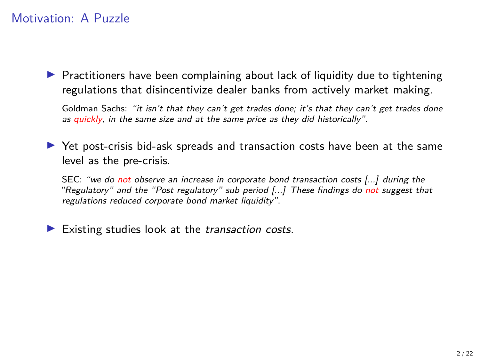$\blacktriangleright$  Practitioners have been complaining about lack of liquidity due to tightening regulations that disincentivize dealer banks from actively market making.

Goldman Sachs: "it isn't that they can't get trades done; it's that they can't get trades done as quickly, in the same size and at the same price as they did historically".

 $\triangleright$  Yet post-crisis bid-ask spreads and transaction costs have been at the same level as the pre-crisis.

SEC: "we do not observe an increase in corporate bond transaction costs [...] during the "Regulatory" and the "Post regulatory" sub period [...] These findings do not suggest that regulations reduced corporate bond market liquidity".

 $\blacktriangleright$  Existing studies look at the transaction costs.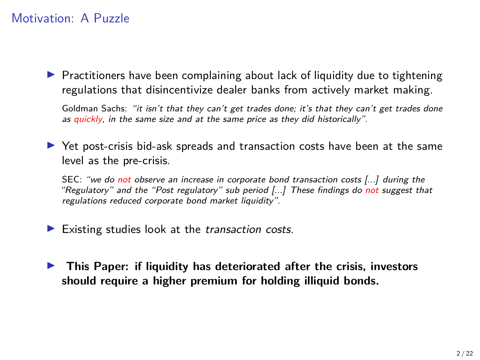$\blacktriangleright$  Practitioners have been complaining about lack of liquidity due to tightening regulations that disincentivize dealer banks from actively market making.

Goldman Sachs: "it isn't that they can't get trades done; it's that they can't get trades done as quickly, in the same size and at the same price as they did historically".

 $\triangleright$  Yet post-crisis bid-ask spreads and transaction costs have been at the same level as the pre-crisis.

SEC: "we do not observe an increase in corporate bond transaction costs [...] during the "Regulatory" and the "Post regulatory" sub period [...] These findings do not suggest that regulations reduced corporate bond market liquidity".

 $\blacktriangleright$  Existing studies look at the transaction costs.

**IF This Paper: if liquidity has deteriorated after the crisis, investors should require a higher premium for holding illiquid bonds.**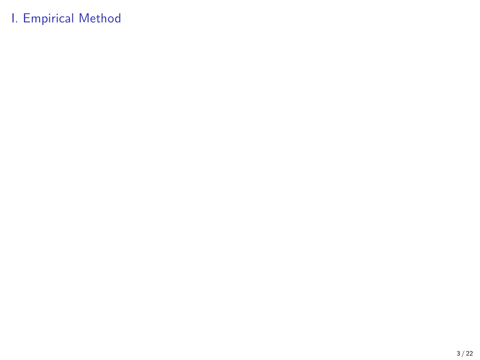# <span id="page-6-0"></span>I. Empirical Method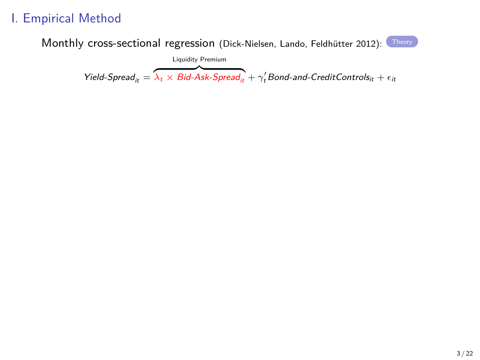## I. Empirical Method

Monthly cross-sectional regression (Dick-Nielsen, Lando, Feldhütter 2012): [Theory](#page-19-0)

$$
\text{Yield-Spread}_{it} = \overbrace{\lambda_t \times \text{Bid-Ask-Spread}_{it}}^{\text{Liquidity Premium}} + \gamma_t' \text{Bond-and-CreditControls}_{it} + \epsilon_{it}
$$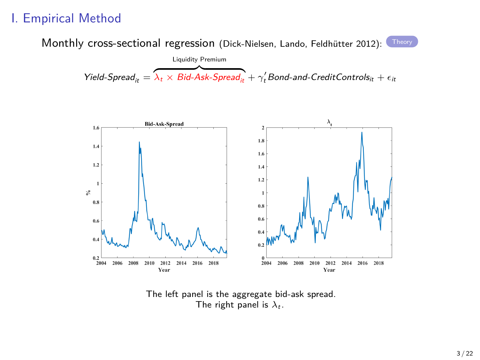#### I. Empirical Method

Monthly cross-sectional regression (Dick-Nielsen, Lando, Feldhütter 2012): [Theory](#page-19-0)

$$
\text{Yield-Spread}_{it} = \overbrace{\lambda_t \times \text{Bid-Ask-Spread}_{it} + \gamma_t' \text{Bond-and-CreditControls}_{it} + \epsilon_{it}}
$$



The left panel is the aggregate bid-ask spread. The right panel is  $\lambda_t$ .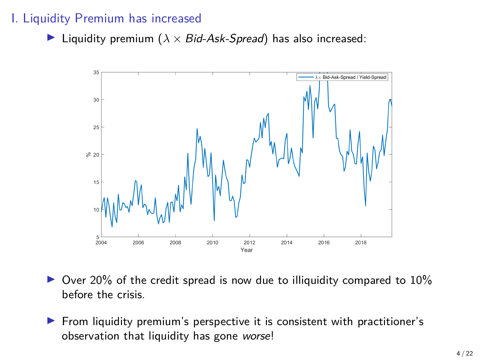#### I. Liquidity Premium has increased

 $\triangleright$  Liquidity premium ( $\lambda \times$  Bid-Ask-Spread) has also increased:



- $\triangleright$  Over 20% of the credit spread is now due to illiquidity compared to 10% before the crisis.
- $\blacktriangleright$  From liquidity premium's perspective it is consistent with practitioner's observation that liquidity has gone worse!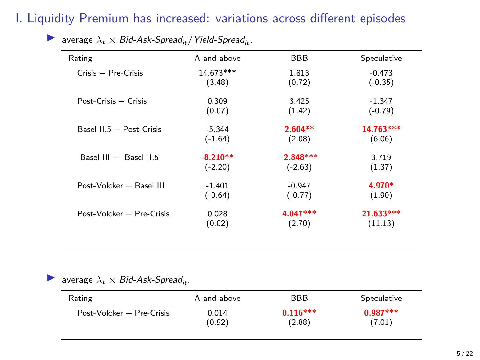# I. Liquidity Premium has increased: variations across different episodes

| Rating                     | A and above | BBB         | Speculative |
|----------------------------|-------------|-------------|-------------|
| $Crisis - Pre-Crisis$      | 14.673***   | 1.813       | $-0.473$    |
|                            | (3.48)      | (0.72)      | $(-0.35)$   |
| $Post-Crisis - Crisis$     | 0.309       | 3.425       | $-1.347$    |
|                            | (0.07)      | (1.42)      | $(-0.79)$   |
| Basel $II.5 - Post-Crisis$ | $-5.344$    | $2.604**$   | 14.763***   |
|                            | $(-1.64)$   | (2.08)      | (6.06)      |
| Basel $III -$ Basel $II.5$ | $-8.210**$  | $-2.848***$ | 3.719       |
|                            | $(-2.20)$   | $(-2.63)$   | (1.37)      |
| Post-Volcker - Basel III   | $-1.401$    | $-0.947$    | 4.970*      |
|                            | $(-0.64)$   | $(-0.77)$   | (1.90)      |
| Post-Volcker - Pre-Crisis  | 0.028       | $4.047***$  | $21.633***$ |
|                            | (0.02)      | (2.70)      | (11.13)     |

**IF** average  $\lambda_t \times$  Bid-Ask-Spread<sub>it</sub>/Yield-Spread<sub>it</sub>.

average  $\lambda_t \times$  Bid-Ask-Spread<sub>it</sub>.

| Rating                    | A and above | <b>BBB</b> | Speculative |
|---------------------------|-------------|------------|-------------|
| Post-Volcker - Pre-Crisis | 0.014       | $0.116***$ | $0.987***$  |
|                           | (0.92)      | (2.88)     | (7.01)      |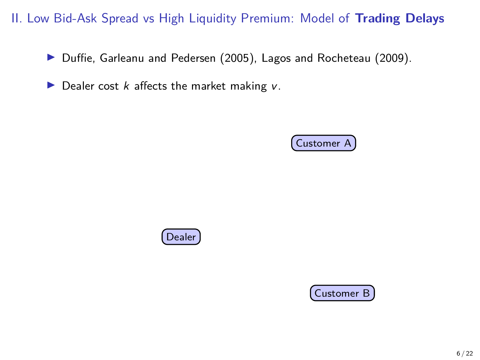▶ Duffie, Garleanu and Pedersen (2005), Lagos and Rocheteau (2009).





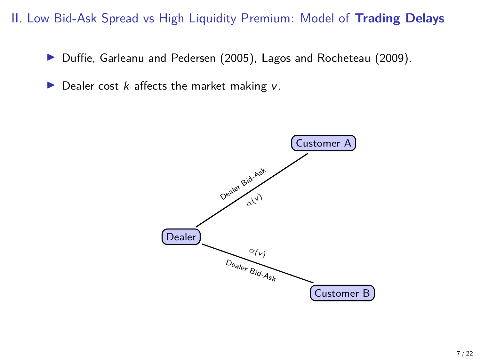▶ Duffie, Garleanu and Pedersen (2005), Lagos and Rocheteau (2009).

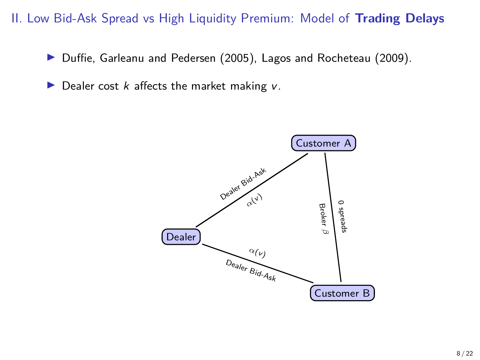▶ Duffie, Garleanu and Pedersen (2005), Lagos and Rocheteau (2009).

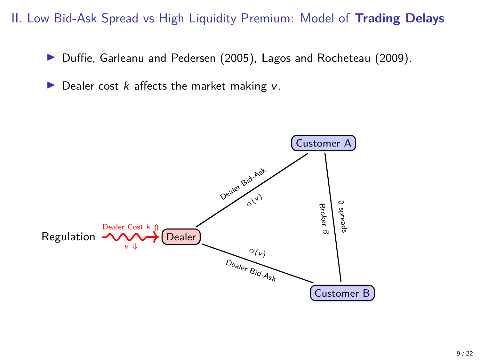▶ Duffie, Garleanu and Pedersen (2005), Lagos and Rocheteau (2009).

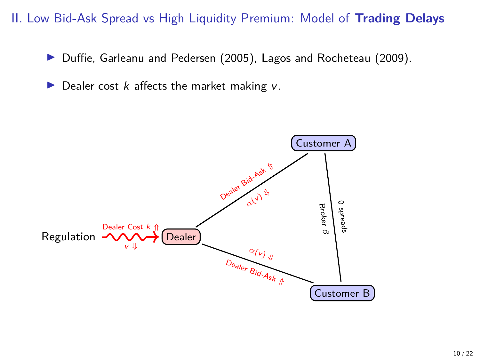▶ Duffie, Garleanu and Pedersen (2005), Lagos and Rocheteau (2009).

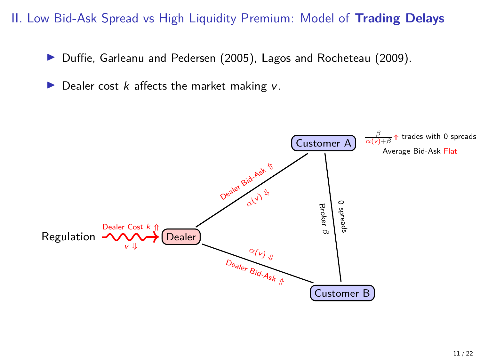▶ Duffie, Garleanu and Pedersen (2005), Lagos and Rocheteau (2009).

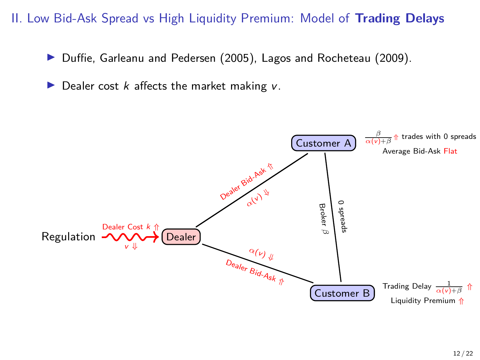▶ Duffie, Garleanu and Pedersen (2005), Lagos and Rocheteau (2009).

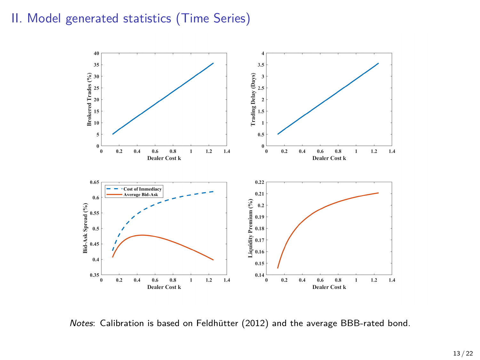#### II. Model generated statistics (Time Series)



Notes: Calibration is based on Feldhütter (2012) and the average BBB-rated bond.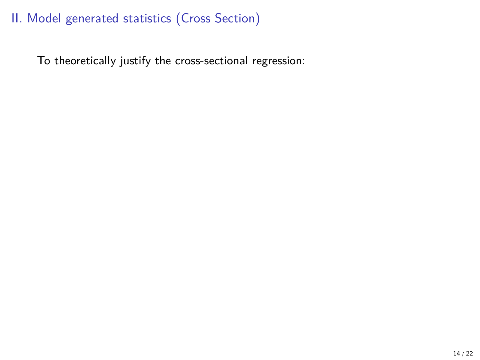<span id="page-19-0"></span>To theoretically justify the cross-sectional regression: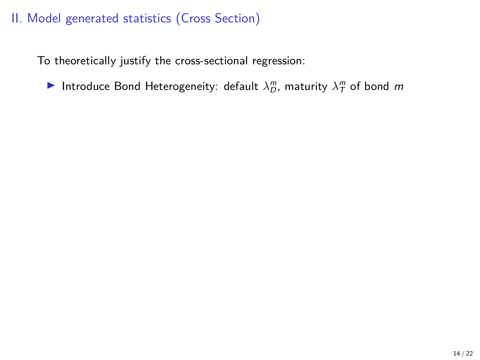To theoretically justify the cross-sectional regression:

Introduce Bond Heterogeneity: default  $\lambda_D^m$ , maturity  $\lambda_T^m$  of bond m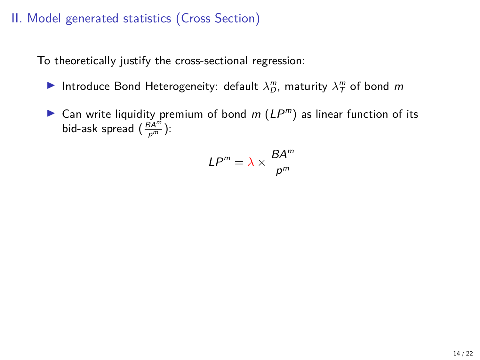To theoretically justify the cross-sectional regression:

- Introduce Bond Heterogeneity: default  $\lambda_D^m$ , maturity  $\lambda_T^m$  of bond m
- ightharpoonup Can write liquidity premium of bond  $m(LP<sup>m</sup>)$  as linear function of its bid-ask spread  $(\frac{\tilde{B}A^m}{\rho^m})$ :

$$
LP^m = \lambda \times \frac{BA^m}{p^m}
$$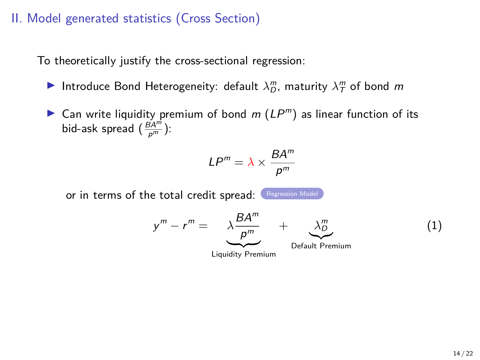To theoretically justify the cross-sectional regression:

- Introduce Bond Heterogeneity: default  $\lambda_D^m$ , maturity  $\lambda_T^m$  of bond m
- ightharpoonup Can write liquidity premium of bond  $m(LP<sup>m</sup>)$  as linear function of its bid-ask spread  $(\frac{\tilde{B}A^m}{\rho^m})$ :

$$
LP^m = \lambda \times \frac{BA^m}{p^m}
$$

or in terms of the total credit spread: [Regression Model](#page-6-0)

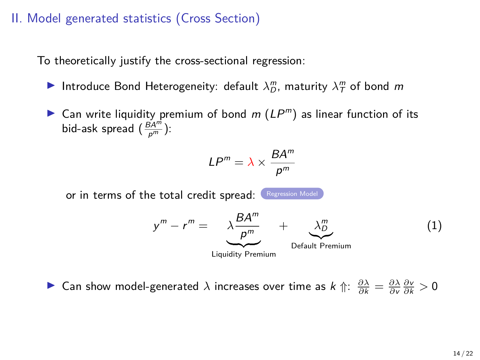To theoretically justify the cross-sectional regression:

- Introduce Bond Heterogeneity: default  $\lambda_D^m$ , maturity  $\lambda_T^m$  of bond m
- ightharpoonup Can write liquidity premium of bond  $m(LP<sup>m</sup>)$  as linear function of its bid-ask spread  $(\frac{\tilde{B}A^m}{\rho^m})$ :

$$
LP^m = \lambda \times \frac{BA^m}{p^m}
$$

or in terms of the total credit spread: [Regression Model](#page-6-0)



**►** Can show model-generated *λ* increases over time as  $k \Uparrow$ :  $\frac{\partial \lambda}{\partial k} = \frac{\partial \lambda}{\partial v} \frac{\partial v}{\partial k} > 0$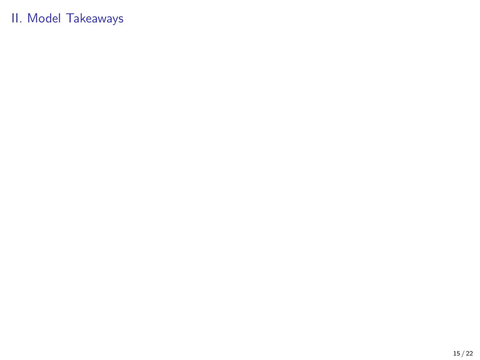### II. Model Takeaways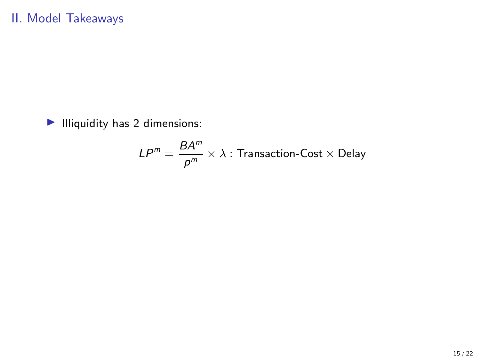$\blacktriangleright$  Illiquidity has 2 dimensions:

$$
LP^m = \frac{BA^m}{p^m} \times \lambda : \text{Transaction-Cost} \times \text{Delay}
$$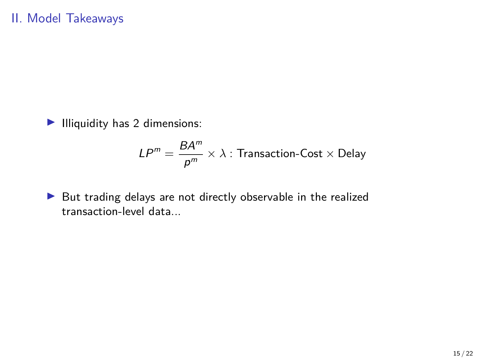$\blacktriangleright$  Illiquidity has 2 dimensions:

$$
LP^m = \frac{BA^m}{p^m} \times \lambda : \text{Transaction-Cost} \times \text{Delay}
$$

 $\blacktriangleright$  But trading delays are not directly observable in the realized transaction-level data...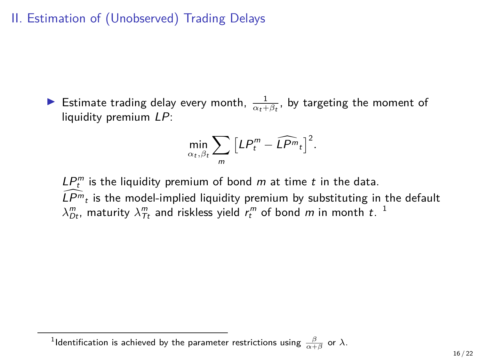II. Estimation of (Unobserved) Trading Delays

Estimate trading delay every month,  $\frac{1}{\alpha_t + \beta_t}$ , by targeting the moment of liquidity premium LP:

$$
\min_{\alpha_t,\beta_t}\sum_m\left[LP_t^m-\widehat{LP^m}_t\right]^2.
$$

 $LP_t^m$  is the liquidity premium of bond m at time t in the data.  $\widehat{L P^m}_t$  is the model-implied liquidity premium by substituting in the default  $\lambda^m_{Dt}$ , maturity  $\lambda^m_{Tt}$  and riskless yield  $r^m_t$  of bond  $m$  in month  $t$ .  $^1$ 

 $^1$ ldentification is achieved by the parameter restrictions using  $\frac{\beta}{\alpha+\beta}$  or  $\lambda$ .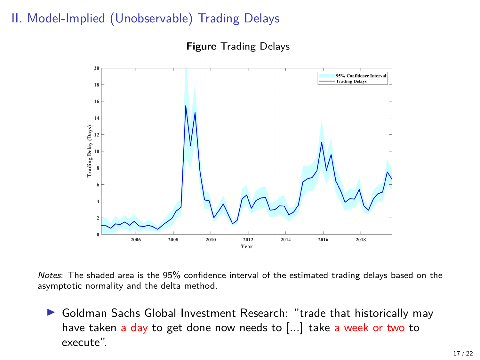### II. Model-Implied (Unobservable) Trading Delays

**Figure** Trading Delays



Notes: The shaded area is the 95% confidence interval of the estimated trading delays based on the asymptotic normality and the delta method.

▶ Goldman Sachs Global Investment Research: "trade that historically may have taken a day to get done now needs to [...] take a week or two to execute".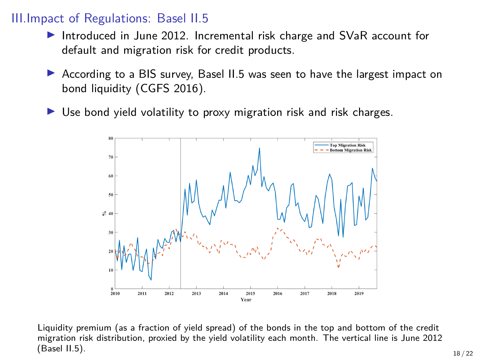#### III.Impact of Regulations: Basel II.5

- Introduced in June 2012. Incremental risk charge and SVaR account for default and migration risk for credit products.
- $\triangleright$  According to a BIS survey, Basel II.5 was seen to have the largest impact on bond liquidity (CGFS 2016).
- $\triangleright$  Use bond yield volatility to proxy migration risk and risk charges.



Liquidity premium (as a fraction of yield spread) of the bonds in the top and bottom of the credit migration risk distribution, proxied by the yield volatility each month. The vertical line is June 2012 (Basel II.5). 18/22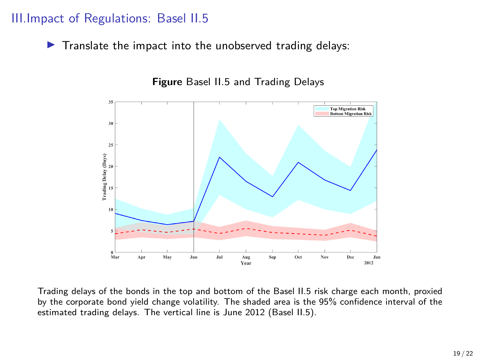#### III.Impact of Regulations: Basel II.5

 $\blacktriangleright$  Translate the impact into the unobserved trading delays:



**Figure** Basel II.5 and Trading Delays

Trading delays of the bonds in the top and bottom of the Basel II.5 risk charge each month, proxied by the corporate bond yield change volatility. The shaded area is the 95% confidence interval of the estimated trading delays. The vertical line is June 2012 (Basel II.5).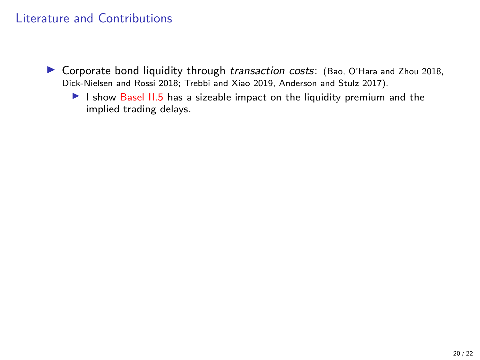- $\triangleright$  Corporate bond liquidity through *transaction costs*: (Bao, O'Hara and Zhou 2018, Dick-Nielsen and Rossi 2018; Trebbi and Xiao 2019, Anderson and Stulz 2017).
	- I show Basel  $II.5$  has a sizeable impact on the liquidity premium and the implied trading delays.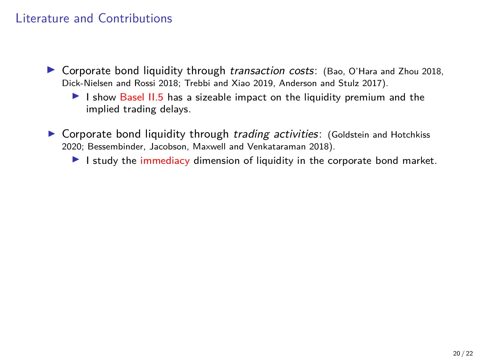- $\triangleright$  Corporate bond liquidity through *transaction costs*: (Bao, O'Hara and Zhou 2018, Dick-Nielsen and Rossi 2018; Trebbi and Xiao 2019, Anderson and Stulz 2017).
	- I show Basel  $II.5$  has a sizeable impact on the liquidity premium and the implied trading delays.
- ▶ Corporate bond liquidity through trading activities: (Goldstein and Hotchkiss 2020; Bessembinder, Jacobson, Maxwell and Venkataraman 2018).
	- I study the immediacy dimension of liquidity in the corporate bond market.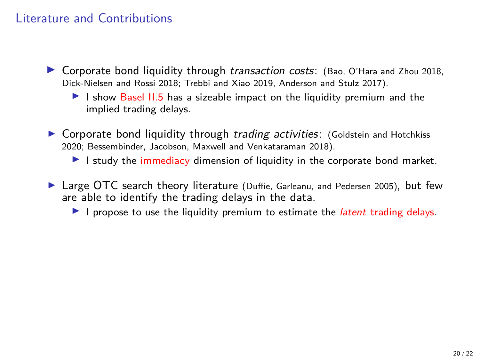- $\triangleright$  Corporate bond liquidity through *transaction costs*: (Bao, O'Hara and Zhou 2018, Dick-Nielsen and Rossi 2018; Trebbi and Xiao 2019, Anderson and Stulz 2017).
	- I show Basel  $II.5$  has a sizeable impact on the liquidity premium and the implied trading delays.
- ▶ Corporate bond liquidity through trading activities: (Goldstein and Hotchkiss 2020; Bessembinder, Jacobson, Maxwell and Venkataraman 2018).
	- I study the immediacy dimension of liquidity in the corporate bond market.
- $\blacktriangleright$  Large OTC search theory literature (Duffie, Garleanu, and Pedersen 2005), but few are able to identify the trading delays in the data.
	- I is propose to use the liquidity premium to estimate the *latent* trading delays.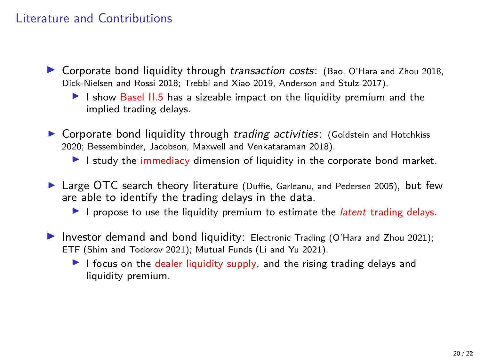- $\triangleright$  Corporate bond liquidity through *transaction costs*: (Bao, O'Hara and Zhou 2018, Dick-Nielsen and Rossi 2018; Trebbi and Xiao 2019, Anderson and Stulz 2017).
	- I show Basel  $II.5$  has a sizeable impact on the liquidity premium and the implied trading delays.
- ▶ Corporate bond liquidity through trading activities: (Goldstein and Hotchkiss 2020; Bessembinder, Jacobson, Maxwell and Venkataraman 2018).
	- I study the immediacy dimension of liquidity in the corporate bond market.
- $\blacktriangleright$  Large OTC search theory literature (Duffie, Garleanu, and Pedersen 2005), but few are able to identify the trading delays in the data.
	- I is propose to use the liquidity premium to estimate the *latent* trading delays.
- Investor demand and bond liquidity: Electronic Trading (O'Hara and Zhou 2021); ETF (Shim and Todorov 2021); Mutual Funds (Li and Yu 2021).
	- I focus on the dealer liquidity supply, and the rising trading delays and liquidity premium.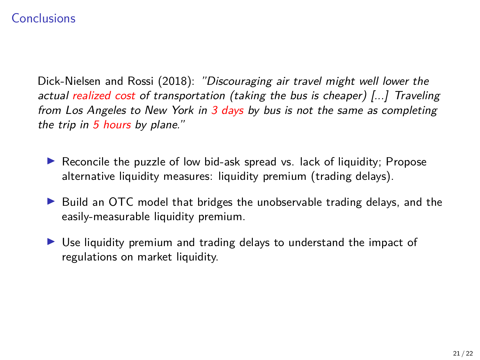#### **Conclusions**

Dick-Nielsen and Rossi (2018): "Discouraging air travel might well lower the actual realized cost of transportation (taking the bus is cheaper)  $\left[\ldots\right]$  Traveling from Los Angeles to New York in 3 days by bus is not the same as completing the trip in 5 hours by plane."

- $\blacktriangleright$  Reconcile the puzzle of low bid-ask spread vs. lack of liquidity; Propose alternative liquidity measures: liquidity premium (trading delays).
- ▶ Build an OTC model that bridges the unobservable trading delays, and the easily-measurable liquidity premium.
- $\triangleright$  Use liquidity premium and trading delays to understand the impact of regulations on market liquidity.